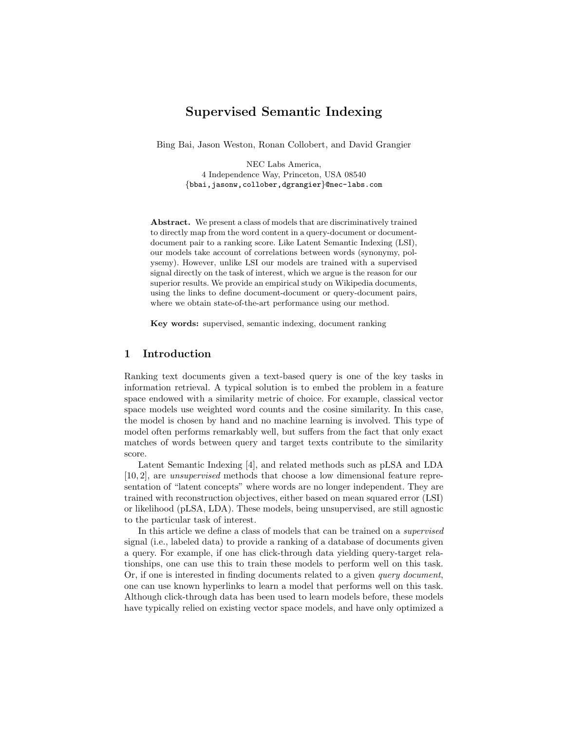# Supervised Semantic Indexing

Bing Bai, Jason Weston, Ronan Collobert, and David Grangier

NEC Labs America, 4 Independence Way, Princeton, USA 08540 {bbai,jasonw,collober,dgrangier}@nec-labs.com

Abstract. We present a class of models that are discriminatively trained to directly map from the word content in a query-document or documentdocument pair to a ranking score. Like Latent Semantic Indexing (LSI), our models take account of correlations between words (synonymy, polysemy). However, unlike LSI our models are trained with a supervised signal directly on the task of interest, which we argue is the reason for our superior results. We provide an empirical study on Wikipedia documents, using the links to define document-document or query-document pairs, where we obtain state-of-the-art performance using our method.

Key words: supervised, semantic indexing, document ranking

### 1 Introduction

Ranking text documents given a text-based query is one of the key tasks in information retrieval. A typical solution is to embed the problem in a feature space endowed with a similarity metric of choice. For example, classical vector space models use weighted word counts and the cosine similarity. In this case, the model is chosen by hand and no machine learning is involved. This type of model often performs remarkably well, but suffers from the fact that only exact matches of words between query and target texts contribute to the similarity score.

Latent Semantic Indexing [4], and related methods such as pLSA and LDA [10, 2], are unsupervised methods that choose a low dimensional feature representation of "latent concepts" where words are no longer independent. They are trained with reconstruction objectives, either based on mean squared error (LSI) or likelihood (pLSA, LDA). These models, being unsupervised, are still agnostic to the particular task of interest.

In this article we define a class of models that can be trained on a supervised signal (i.e., labeled data) to provide a ranking of a database of documents given a query. For example, if one has click-through data yielding query-target relationships, one can use this to train these models to perform well on this task. Or, if one is interested in finding documents related to a given query document, one can use known hyperlinks to learn a model that performs well on this task. Although click-through data has been used to learn models before, these models have typically relied on existing vector space models, and have only optimized a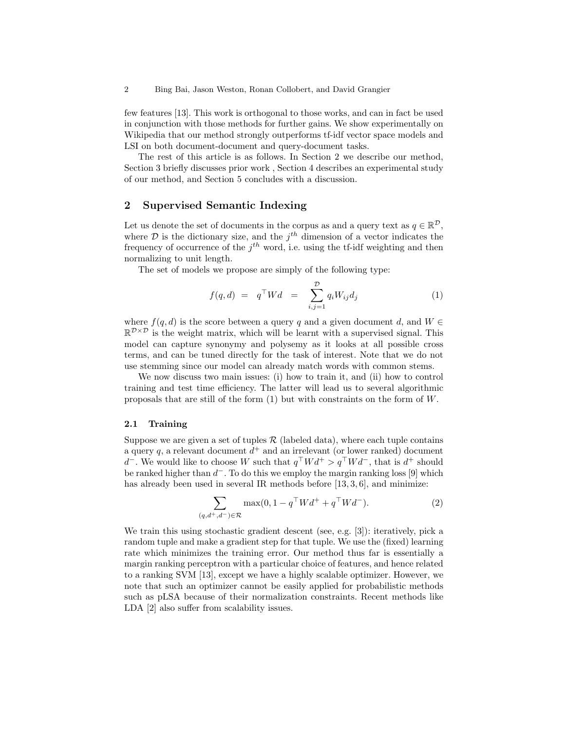few features [13]. This work is orthogonal to those works, and can in fact be used in conjunction with those methods for further gains. We show experimentally on Wikipedia that our method strongly outperforms tf-idf vector space models and LSI on both document-document and query-document tasks.

The rest of this article is as follows. In Section 2 we describe our method, Section 3 briefly discusses prior work , Section 4 describes an experimental study of our method, and Section 5 concludes with a discussion.

## 2 Supervised Semantic Indexing

Let us denote the set of documents in the corpus as and a query text as  $q \in \mathbb{R}^{\mathcal{D}}$ , where  $D$  is the dictionary size, and the  $j<sup>th</sup>$  dimension of a vector indicates the frequency of occurrence of the  $j<sup>th</sup>$  word, i.e. using the tf-idf weighting and then normalizing to unit length.

The set of models we propose are simply of the following type:

$$
f(q,d) = q^{\top} Wd = \sum_{i,j=1}^{\mathcal{D}} q_i W_{ij} d_j \tag{1}
$$

where  $f(q, d)$  is the score between a query q and a given document d, and  $W \in$  $\mathbb{R}^{\mathcal{D}\times\mathcal{D}}$  is the weight matrix, which will be learnt with a supervised signal. This model can capture synonymy and polysemy as it looks at all possible cross terms, and can be tuned directly for the task of interest. Note that we do not use stemming since our model can already match words with common stems.

We now discuss two main issues: (i) how to train it, and (ii) how to control training and test time efficiency. The latter will lead us to several algorithmic proposals that are still of the form (1) but with constraints on the form of W.

#### 2.1 Training

Suppose we are given a set of tuples  $\mathcal R$  (labeled data), where each tuple contains a query q, a relevant document  $d^+$  and an irrelevant (or lower ranked) document d<sup>-</sup>. We would like to choose W such that  $q^{\top}Wd^+ > q^{\top}Wd^-$ , that is  $d^+$  should be ranked higher than  $d^-$ . To do this we employ the margin ranking loss [9] which has already been used in several IR methods before [13, 3, 6], and minimize:

$$
\sum_{(q,d^+,d^-)\in\mathcal{R}} \max(0, 1 - q^{\top}Wd^+ + q^{\top}Wd^-). \tag{2}
$$

We train this using stochastic gradient descent (see, e.g. [3]): iteratively, pick a random tuple and make a gradient step for that tuple. We use the (fixed) learning rate which minimizes the training error. Our method thus far is essentially a margin ranking perceptron with a particular choice of features, and hence related to a ranking SVM [13], except we have a highly scalable optimizer. However, we note that such an optimizer cannot be easily applied for probabilistic methods such as pLSA because of their normalization constraints. Recent methods like LDA [2] also suffer from scalability issues.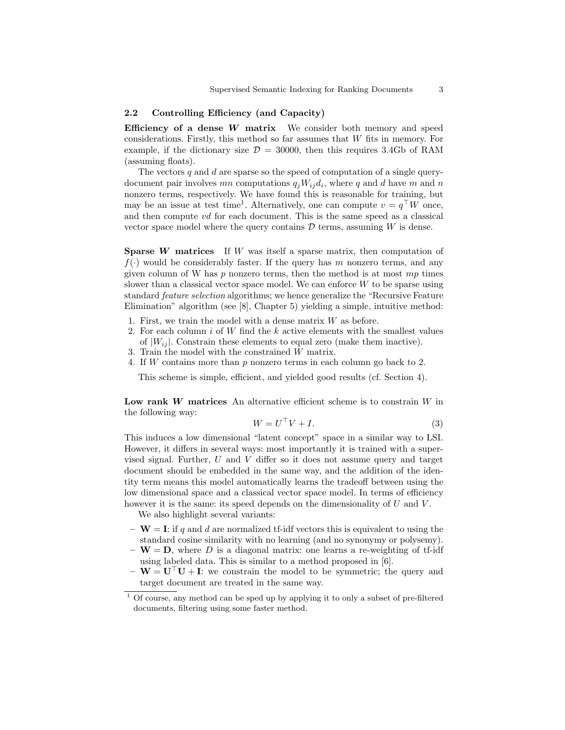#### 2.2 Controlling Efficiency (and Capacity)

Efficiency of a dense  $W$  matrix We consider both memory and speed considerations. Firstly, this method so far assumes that W fits in memory. For example, if the dictionary size  $\mathcal{D} = 30000$ , then this requires 3.4Gb of RAM (assuming floats).

The vectors  $q$  and  $d$  are sparse so the speed of computation of a single querydocument pair involves  $mn$  computations  $q_jW_{ij}d_i$ , where q and d have m and n nonzero terms, respectively. We have found this is reasonable for training, but may be an issue at test time<sup>1</sup>. Alternatively, one can compute  $v = q^{\top}W$  once, and then compute vd for each document. This is the same speed as a classical vector space model where the query contains  $D$  terms, assuming  $W$  is dense.

**Sparse W matrices** If W was itself a sparse matrix, then computation of  $f(\cdot)$  would be considerably faster. If the query has m nonzero terms, and any given column of W has  $p$  nonzero terms, then the method is at most  $mp$  times slower than a classical vector space model. We can enforce  $W$  to be sparse using standard feature selection algorithms; we hence generalize the "Recursive Feature Elimination" algorithm (see [8], Chapter 5) yielding a simple, intuitive method:

- 1. First, we train the model with a dense matrix  $W$  as before.
- 2. For each column i of W find the k active elements with the smallest values of  $|W_{ij}|$ . Constrain these elements to equal zero (make them inactive).
- 3. Train the model with the constrained W matrix.
- 4. If W contains more than p nonzero terms in each column go back to 2.

This scheme is simple, efficient, and yielded good results (cf. Section 4).

Low rank  $W$  matrices An alternative efficient scheme is to constrain  $W$  in the following way:

$$
W = U^{\top}V + I. \tag{3}
$$

This induces a low dimensional "latent concept" space in a similar way to LSI. However, it differs in several ways: most importantly it is trained with a supervised signal. Further,  $U$  and  $V$  differ so it does not assume query and target document should be embedded in the same way, and the addition of the identity term means this model automatically learns the tradeoff between using the low dimensional space and a classical vector space model. In terms of efficiency however it is the same: its speed depends on the dimensionality of  $U$  and  $V$ .

We also highlight several variants:

- $-$  **W** = **I**: if q and d are normalized tf-idf vectors this is equivalent to using the standard cosine similarity with no learning (and no synonymy or polysemy).
- $-$  **W** = **D**, where D is a diagonal matrix: one learns a re-weighting of tf-idf using labeled data. This is similar to a method proposed in [6].
- $W = U^{\dagger} U + I$ : we constrain the model to be symmetric; the query and target document are treated in the same way.

 $1$  Of course, any method can be sped up by applying it to only a subset of pre-filtered documents, filtering using some faster method.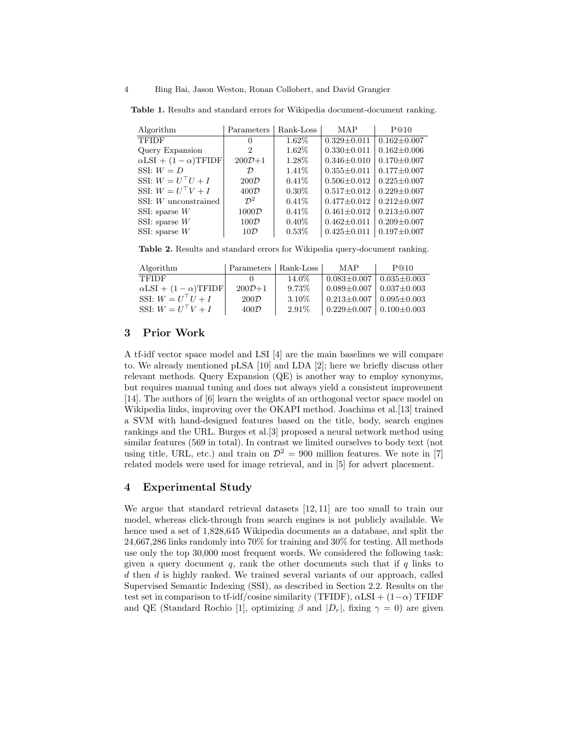Table 1. Results and standard errors for Wikipedia document-document ranking.

| Algorithm                           | Parameters      | Rank-Loss | MAP               | P@10              |
|-------------------------------------|-----------------|-----------|-------------------|-------------------|
| <b>TFIDF</b>                        | $\theta$        | 1.62%     | $0.329 \pm 0.011$ | $0.162 \pm 0.007$ |
| Query Expansion                     | $\overline{2}$  | 1.62\%    | $0.330 \pm 0.011$ | $0.162 \pm 0.006$ |
| $\alpha$ LSI + $(1 - \alpha)$ TFIDF | $200D+1$        | 1.28\%    | $0.346 \pm 0.010$ | $0.170 \pm 0.007$ |
| SSI: $W = D$                        |                 | $1.41\%$  | $0.355 \pm 0.011$ | $0.177 \pm 0.007$ |
| SSI: $W = U^{\top} U + I$           | 200D            | $0.41\%$  | $0.506 \pm 0.012$ | $0.225 \pm 0.007$ |
| SSI: $W = U^{\top}V + I$            | 400D            | $0.30\%$  | $0.517 \pm 0.012$ | $0.229 \pm 0.007$ |
| SSI: W unconstrained                | $\mathcal{D}^2$ | $0.41\%$  | $0.477 \pm 0.012$ | $0.212 \pm 0.007$ |
| SSI: sparse $W$                     | 1000D           | $0.41\%$  | $0.461 \pm 0.012$ | $0.213 \pm 0.007$ |
| SSI: sparse $W$                     | 100D            | $0.40\%$  | $0.462 \pm 0.011$ | $0.209 \pm 0.007$ |
| SSI: sparse $W$                     | 10D             | $0.53\%$  | $0.425 \pm 0.011$ | $0.197 \pm 0.007$ |

Table 2. Results and standard errors for Wikipedia query-document ranking.

| Algorithm                           | Parameters   Rank-Loss |          | MAP                                                 | P@10              |
|-------------------------------------|------------------------|----------|-----------------------------------------------------|-------------------|
| <b>TFIDF</b>                        |                        | 14.0\%   | $\pm 0.083 \pm 0.007$                               | $ 0.035 + 0.003 $ |
| $\alpha$ LSI + $(1 - \alpha)$ TFIDF | $200D+1$               | $9.73\%$ | $0.089 \pm 0.007$   $0.037 \pm 0.003$               |                   |
| SSI: $W = U^{\top} U + I$           | 200D                   | 3.10\%   | $0.213 \pm 0.007$   $0.095 \pm 0.003$               |                   |
| SSI: $W = U^{\top}V + I$            | 400D                   | $2.91\%$ | $\vert 0.229 \pm 0.007 \vert 0.100 \pm 0.003 \vert$ |                   |

## 3 Prior Work

A tf-idf vector space model and LSI [4] are the main baselines we will compare to. We already mentioned pLSA [10] and LDA [2]; here we briefly discuss other relevant methods. Query Expansion (QE) is another way to employ synonyms, but requires manual tuning and does not always yield a consistent improvement [14]. The authors of [6] learn the weights of an orthogonal vector space model on Wikipedia links, improving over the OKAPI method. Joachims et al.<sup>[13]</sup> trained a SVM with hand-designed features based on the title, body, search engines rankings and the URL. Burges et al.[3] proposed a neural network method using similar features (569 in total). In contrast we limited ourselves to body text (not using title, URL, etc.) and train on  $\mathcal{D}^2 = 900$  million features. We note in [7] related models were used for image retrieval, and in [5] for advert placement.

## 4 Experimental Study

We argue that standard retrieval datasets [12, 11] are too small to train our model, whereas click-through from search engines is not publicly available. We hence used a set of 1,828,645 Wikipedia documents as a database, and split the 24,667,286 links randomly into 70% for training and 30% for testing. All methods use only the top 30,000 most frequent words. We considered the following task: given a query document  $q$ , rank the other documents such that if  $q$  links to d then d is highly ranked. We trained several variants of our approach, called Supervised Semantic Indexing (SSI), as described in Section 2.2. Results on the test set in comparison to tf-idf/cosine similarity (TFIDF),  $\alpha$ LSI + (1– $\alpha$ ) TFIDF and QE (Standard Rochio [1], optimizing  $\beta$  and  $|D_r|$ , fixing  $\gamma = 0$ ) are given